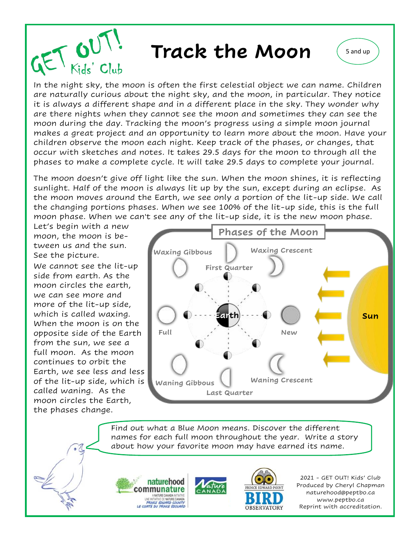

In the night sky, the moon is often the first celestial object we can name. Children are naturally curious about the night sky, and the moon, in particular. They notice it is always a different shape and in a different place in the sky. They wonder why are there nights when they cannot see the moon and sometimes they can see the moon during the day. Tracking the moon's progress using a simple moon journal makes a great project and an opportunity to learn more about the moon. Have your children observe the moon each night. Keep track of the phases, or changes, that occur with sketches and notes. It takes 29.5 days for the moon to through all the phases to make a complete cycle. It will take 29.5 days to complete your journal.

The moon doesn't give off light like the sun. When the moon shines, it is reflecting sunlight. Half of the moon is always lit up by the sun, except during an eclipse. As the moon moves around the Earth, we see only a portion of the lit-up side. We call the changing portions phases. When we see 100% of the lit-up side, this is the full moon phase. When we can't see any of the lit-up side, it is the new moon phase.

Let's begin with a new moon, the moon is between us and the sun. See the picture.

We cannot see the lit-up side from earth. As the moon circles the earth, we can see more and more of the lit-up side, which is called waxing. When the moon is on the opposite side of the Earth from the sun, we see a full moon. As the moon continues to orbit the Earth, we see less and less of the lit-up side, which is called waning. As the moon circles the Earth, the phases change.



Find out what a Blue Moon means. Discover the different names for each full moon throughout the year. Write a story about how your favorite moon may have earned its name.





2021 - GET OUT! Kids' Club Produced by Cheryl Chapman naturehood@peptbo.ca www.peptbo.ca Reprint with accreditation.